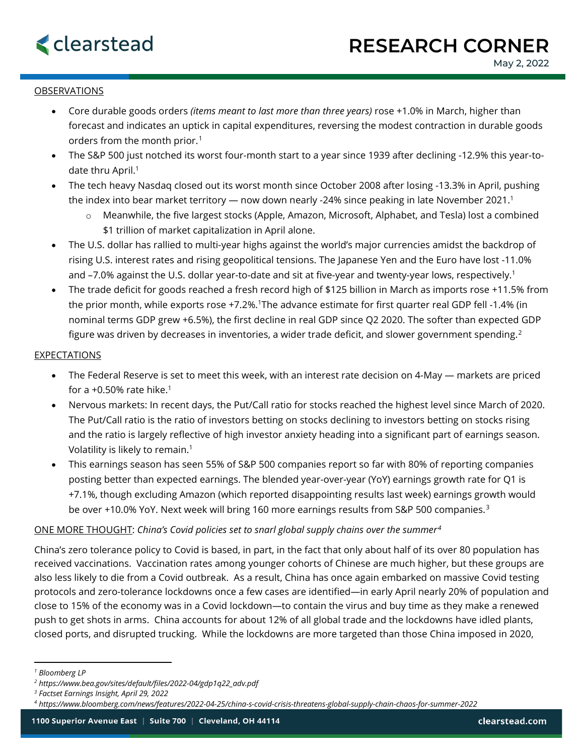

## **OBSERVATIONS**

- Core durable goods orders *(items meant to last more than three years)* rose +1.0% in March, higher than forecast and indicates an uptick in capital expenditures, reversing the modest contraction in durable goods orders from the month prior.<sup>[1](#page-0-0)</sup>
- The S&P 500 just notched its worst four-month start to a year since 1939 after declining -12.9% this year-todate thru April.<sup>1</sup>
- The tech heavy Nasdaq closed out its worst month since October 2008 after losing -13.3% in April, pushing the index into bear market territory — now down nearly -24% since peaking in late November 2021.<sup>1</sup>
	- o Meanwhile, the five largest stocks (Apple, Amazon, Microsoft, Alphabet, and Tesla) lost a combined \$1 trillion of market capitalization in April alone.
- The U.S. dollar has rallied to multi-year highs against the world's major currencies amidst the backdrop of rising U.S. interest rates and rising geopolitical tensions. The Japanese Yen and the Euro have lost -11.0% and -7.0% against the U.S. dollar year-to-date and sit at five-year and twenty-year lows, respectively.<sup>1</sup>
- The trade deficit for goods reached a fresh record high of \$125 billion in March as imports rose +11.5% from the prior month, while exports rose +7.2%.1The advance estimate for first quarter real GDP fell -1.4% (in nominal terms GDP grew +6.5%), the first decline in real GDP since Q2 2020. The softer than expected GDP figure was driven by decreases in inventories, a wider trade deficit, and slower government spending.<sup>[2](#page-0-1)</sup>

## **EXPECTATIONS**

- The Federal Reserve is set to meet this week, with an interest rate decision on 4-May markets are priced for a +0.50% rate hike. $1$
- Nervous markets: In recent days, the Put/Call ratio for stocks reached the highest level since March of 2020. The Put/Call ratio is the ratio of investors betting on stocks declining to investors betting on stocks rising and the ratio is largely reflective of high investor anxiety heading into a significant part of earnings season. Volatility is likely to remain.1
- This earnings season has seen 55% of S&P 500 companies report so far with 80% of reporting companies posting better than expected earnings. The blended year-over-year (YoY) earnings growth rate for Q1 is +7.1%, though excluding Amazon (which reported disappointing results last week) earnings growth would be over +10.0% YoY. Next week will bring 160 more earnings results from S&P 500 companies.<sup>[3](#page-0-2)</sup>

## ONE MORE THOUGHT: *China's Covid policies set to snarl global supply chains over the summer[4](#page-0-3)*

China's zero tolerance policy to Covid is based, in part, in the fact that only about half of its over 80 population has received vaccinations. Vaccination rates among younger cohorts of Chinese are much higher, but these groups are also less likely to die from a Covid outbreak. As a result, China has once again embarked on massive Covid testing protocols and zero-tolerance lockdowns once a few cases are identified—in early April nearly 20% of population and close to 15% of the economy was in a Covid lockdown—to contain the virus and buy time as they make a renewed push to get shots in arms. China accounts for about 12% of all global trade and the lockdowns have idled plants, closed ports, and disrupted trucking. While the lockdowns are more targeted than those China imposed in 2020,

<span id="page-0-0"></span>*<sup>1</sup> Bloomberg LP*

<span id="page-0-1"></span>*<sup>2</sup> https://www.bea.gov/sites/default/files/2022-04/gdp1q22\_adv.pdf*

<span id="page-0-2"></span>*<sup>3</sup> Factset Earnings Insight, April 29, 2022*

<span id="page-0-3"></span>*<sup>4</sup> https://www.bloomberg.com/news/features/2022-04-25/china-s-covid-crisis-threatens-global-supply-chain-chaos-for-summer-2022*